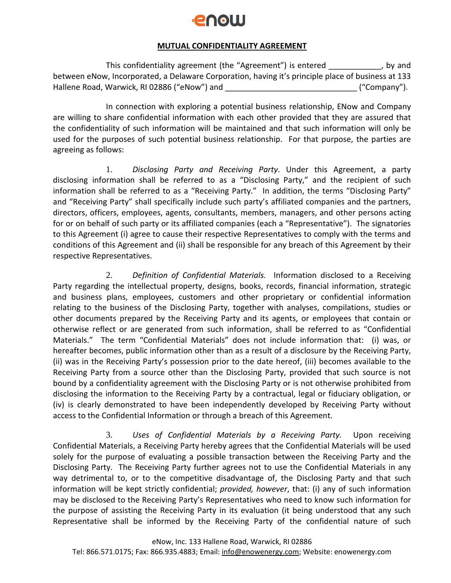## **POOLI**

## **MUTUAL CONFIDENTIALITY AGREEMENT**

This confidentiality agreement (the "Agreement") is entered \_\_\_\_\_\_\_\_\_\_\_\_, by and between eNow, Incorporated, a Delaware Corporation, having it's principle place of business at 133 Hallene Road, Warwick, RI 02886 ("eNow") and \_\_\_\_\_\_\_\_\_\_\_\_\_\_\_\_\_\_\_\_\_\_\_\_\_\_\_\_\_\_ ("Company").

In connection with exploring a potential business relationship, ENow and Company are willing to share confidential information with each other provided that they are assured that the confidentiality of such information will be maintained and that such information will only be used for the purposes of such potential business relationship. For that purpose, the parties are agreeing as follows:

1. *Disclosing Party and Receiving Party*. Under this Agreement, a party disclosing information shall be referred to as a "Disclosing Party," and the recipient of such information shall be referred to as a "Receiving Party." In addition, the terms "Disclosing Party" and "Receiving Party" shall specifically include such party's affiliated companies and the partners, directors, officers, employees, agents, consultants, members, managers, and other persons acting for or on behalf of such party or its affiliated companies (each a "Representative"). The signatories to this Agreement (i) agree to cause their respective Representatives to comply with the terms and conditions of this Agreement and (ii) shall be responsible for any breach of this Agreement by their respective Representatives.

2. *Definition of Confidential Materials.* Information disclosed to a Receiving Party regarding the intellectual property, designs, books, records, financial information, strategic and business plans, employees, customers and other proprietary or confidential information relating to the business of the Disclosing Party, together with analyses, compilations, studies or other documents prepared by the Receiving Party and its agents, or employees that contain or otherwise reflect or are generated from such information, shall be referred to as "Confidential Materials." The term "Confidential Materials" does not include information that: (i) was, or hereafter becomes, public information other than as a result of a disclosure by the Receiving Party, (ii) was in the Receiving Party's possession prior to the date hereof, (iii) becomes available to the Receiving Party from a source other than the Disclosing Party, provided that such source is not bound by a confidentiality agreement with the Disclosing Party or is not otherwise prohibited from disclosing the information to the Receiving Party by a contractual, legal or fiduciary obligation, or (iv) is clearly demonstrated to have been independently developed by Receiving Party without access to the Confidential Information or through a breach of this Agreement.

3. *Uses of Confidential Materials by a Receiving Party.* Upon receiving Confidential Materials, a Receiving Party hereby agrees that the Confidential Materials will be used solely for the purpose of evaluating a possible transaction between the Receiving Party and the Disclosing Party. The Receiving Party further agrees not to use the Confidential Materials in any way detrimental to, or to the competitive disadvantage of, the Disclosing Party and that such information will be kept strictly confidential; *provided, however*, that: (i) any of such information may be disclosed to the Receiving Party's Representatives who need to know such information for the purpose of assisting the Receiving Party in its evaluation (it being understood that any such Representative shall be informed by the Receiving Party of the confidential nature of such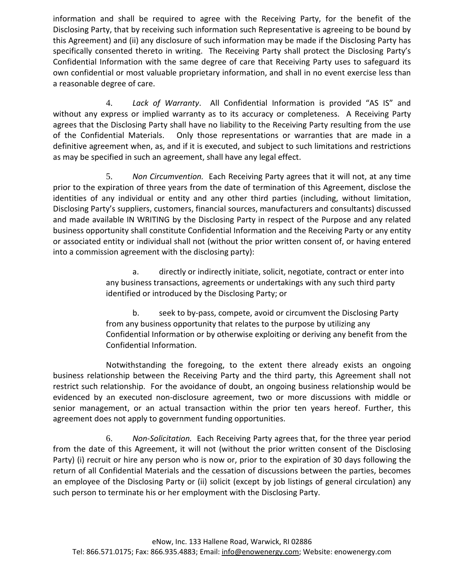information and shall be required to agree with the Receiving Party, for the benefit of the Disclosing Party, that by receiving such information such Representative is agreeing to be bound by this Agreement) and (ii) any disclosure of such information may be made if the Disclosing Party has specifically consented thereto in writing. The Receiving Party shall protect the Disclosing Party's Confidential Information with the same degree of care that Receiving Party uses to safeguard its own confidential or most valuable proprietary information, and shall in no event exercise less than a reasonable degree of care.

4. *Lack of Warranty*. All Confidential Information is provided "AS IS" and without any express or implied warranty as to its accuracy or completeness. A Receiving Party agrees that the Disclosing Party shall have no liability to the Receiving Party resulting from the use of the Confidential Materials. Only those representations or warranties that are made in a definitive agreement when, as, and if it is executed, and subject to such limitations and restrictions as may be specified in such an agreement, shall have any legal effect.

5. *Non Circumvention.* Each Receiving Party agrees that it will not, at any time prior to the expiration of three years from the date of termination of this Agreement, disclose the identities of any individual or entity and any other third parties (including, without limitation, Disclosing Party's suppliers, customers, financial sources, manufacturers and consultants) discussed and made available IN WRITING by the Disclosing Party in respect of the Purpose and any related business opportunity shall constitute Confidential Information and the Receiving Party or any entity or associated entity or individual shall not (without the prior written consent of, or having entered into a commission agreement with the disclosing party):

> a. directly or indirectly initiate, solicit, negotiate, contract or enter into any business transactions, agreements or undertakings with any such third party identified or introduced by the Disclosing Party; or

b. seek to by-pass, compete, avoid or circumvent the Disclosing Party from any business opportunity that relates to the purpose by utilizing any Confidential Information or by otherwise exploiting or deriving any benefit from the Confidential Information.

Notwithstanding the foregoing, to the extent there already exists an ongoing business relationship between the Receiving Party and the third party, this Agreement shall not restrict such relationship. For the avoidance of doubt, an ongoing business relationship would be evidenced by an executed non-disclosure agreement, two or more discussions with middle or senior management, or an actual transaction within the prior ten years hereof. Further, this agreement does not apply to government funding opportunities.

6. *Non-Solicitation.* Each Receiving Party agrees that, for the three year period from the date of this Agreement, it will not (without the prior written consent of the Disclosing Party) (i) recruit or hire any person who is now or, prior to the expiration of 30 days following the return of all Confidential Materials and the cessation of discussions between the parties, becomes an employee of the Disclosing Party or (ii) solicit (except by job listings of general circulation) any such person to terminate his or her employment with the Disclosing Party.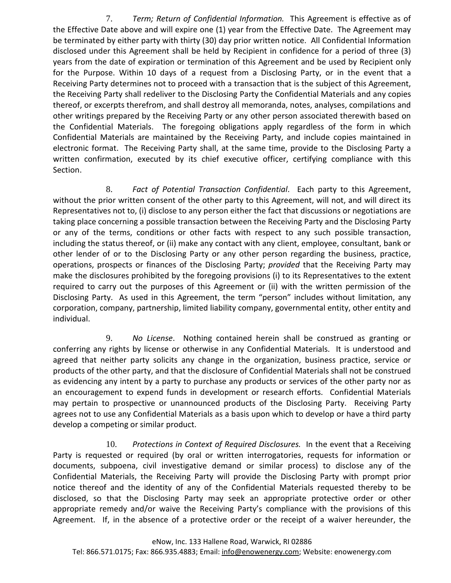7. *Term; Return of Confidential Information.* This Agreement is effective as of the Effective Date above and will expire one (1) year from the Effective Date. The Agreement may be terminated by either party with thirty (30) day prior written notice. All Confidential Information disclosed under this Agreement shall be held by Recipient in confidence for a period of three (3) years from the date of expiration or termination of this Agreement and be used by Recipient only for the Purpose. Within 10 days of a request from a Disclosing Party, or in the event that a Receiving Party determines not to proceed with a transaction that is the subject of this Agreement, the Receiving Party shall redeliver to the Disclosing Party the Confidential Materials and any copies thereof, or excerpts therefrom, and shall destroy all memoranda, notes, analyses, compilations and other writings prepared by the Receiving Party or any other person associated therewith based on the Confidential Materials. The foregoing obligations apply regardless of the form in which Confidential Materials are maintained by the Receiving Party, and include copies maintained in electronic format. The Receiving Party shall, at the same time, provide to the Disclosing Party a written confirmation, executed by its chief executive officer, certifying compliance with this Section.

8. *Fact of Potential Transaction Confidential*. Each party to this Agreement, without the prior written consent of the other party to this Agreement, will not, and will direct its Representatives not to, (i) disclose to any person either the fact that discussions or negotiations are taking place concerning a possible transaction between the Receiving Party and the Disclosing Party or any of the terms, conditions or other facts with respect to any such possible transaction, including the status thereof, or (ii) make any contact with any client, employee, consultant, bank or other lender of or to the Disclosing Party or any other person regarding the business, practice, operations, prospects or finances of the Disclosing Party; *provided* that the Receiving Party may make the disclosures prohibited by the foregoing provisions (i) to its Representatives to the extent required to carry out the purposes of this Agreement or (ii) with the written permission of the Disclosing Party. As used in this Agreement, the term "person" includes without limitation, any corporation, company, partnership, limited liability company, governmental entity, other entity and individual.

9. *No License*. Nothing contained herein shall be construed as granting or conferring any rights by license or otherwise in any Confidential Materials. It is understood and agreed that neither party solicits any change in the organization, business practice, service or products of the other party, and that the disclosure of Confidential Materials shall not be construed as evidencing any intent by a party to purchase any products or services of the other party nor as an encouragement to expend funds in development or research efforts. Confidential Materials may pertain to prospective or unannounced products of the Disclosing Party. Receiving Party agrees not to use any Confidential Materials as a basis upon which to develop or have a third party develop a competing or similar product.

10. *Protections in Context of Required Disclosures.* In the event that a Receiving Party is requested or required (by oral or written interrogatories, requests for information or documents, subpoena, civil investigative demand or similar process) to disclose any of the Confidential Materials, the Receiving Party will provide the Disclosing Party with prompt prior notice thereof and the identity of any of the Confidential Materials requested thereby to be disclosed, so that the Disclosing Party may seek an appropriate protective order or other appropriate remedy and/or waive the Receiving Party's compliance with the provisions of this Agreement. If, in the absence of a protective order or the receipt of a waiver hereunder, the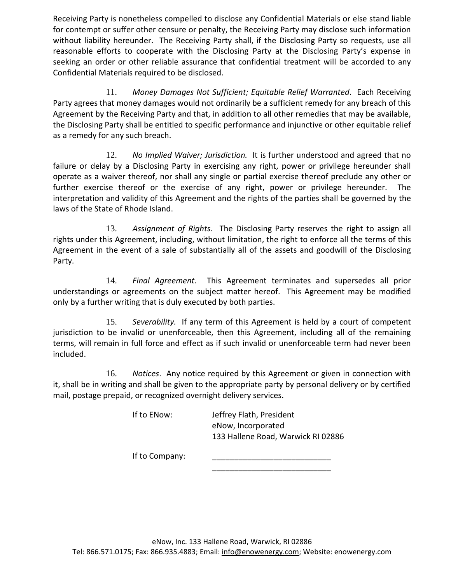Receiving Party is nonetheless compelled to disclose any Confidential Materials or else stand liable for contempt or suffer other censure or penalty, the Receiving Party may disclose such information without liability hereunder. The Receiving Party shall, if the Disclosing Party so requests, use all reasonable efforts to cooperate with the Disclosing Party at the Disclosing Party's expense in seeking an order or other reliable assurance that confidential treatment will be accorded to any Confidential Materials required to be disclosed.

11. *Money Damages Not Sufficient; Equitable Relief Warranted*. Each Receiving Party agrees that money damages would not ordinarily be a sufficient remedy for any breach of this Agreement by the Receiving Party and that, in addition to all other remedies that may be available, the Disclosing Party shall be entitled to specific performance and injunctive or other equitable relief as a remedy for any such breach.

12. *No Implied Waiver; Jurisdiction.* It is further understood and agreed that no failure or delay by a Disclosing Party in exercising any right, power or privilege hereunder shall operate as a waiver thereof, nor shall any single or partial exercise thereof preclude any other or further exercise thereof or the exercise of any right, power or privilege hereunder. The interpretation and validity of this Agreement and the rights of the parties shall be governed by the laws of the State of Rhode Island.

13. *Assignment of Rights*. The Disclosing Party reserves the right to assign all rights under this Agreement, including, without limitation, the right to enforce all the terms of this Agreement in the event of a sale of substantially all of the assets and goodwill of the Disclosing Party.

14. *Final Agreement*. This Agreement terminates and supersedes all prior understandings or agreements on the subject matter hereof. This Agreement may be modified only by a further writing that is duly executed by both parties.

15. *Severability.* If any term of this Agreement is held by a court of competent jurisdiction to be invalid or unenforceable, then this Agreement, including all of the remaining terms, will remain in full force and effect as if such invalid or unenforceable term had never been included.

16. *Notices*. Any notice required by this Agreement or given in connection with it, shall be in writing and shall be given to the appropriate party by personal delivery or by certified mail, postage prepaid, or recognized overnight delivery services.

If to ENow: Jeffrey Flath, President eNow, Incorporated 133 Hallene Road, Warwick RI 02886

\_\_\_\_\_\_\_\_\_\_\_\_\_\_\_\_\_\_\_\_\_\_\_\_\_\_\_

If to Company: